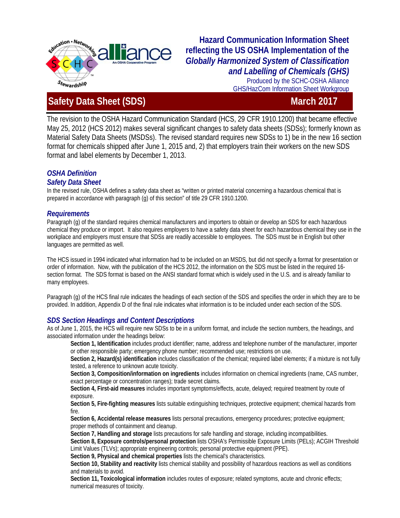

# **Hazard Communication Information Sheet reflecting the US OSHA Implementation of the**  *Globally Harmonized System of Classification and Labelling of Chemicals (GHS)*  Produced by the SCHC-OSHA Alliance

GHS/HazCom Information Sheet Workgroup

# **Information Sheet (SDS)** March 2017

The revision to the OSHA Hazard Communication Standard (HCS, 29 CFR 1910.1200) that became effective May 25, 2012 (HCS 2012) makes several significant changes to safety data sheets (SDSs); formerly known as Material Safety Data Sheets (MSDSs). The revised standard requires new SDSs to 1) be in the new 16 section format for chemicals shipped after June 1, 2015 and, 2) that employers train their workers on the new SDS format and label elements by December 1, 2013.

## *OSHA Definition*

#### *Safety Data Sheet*

In the revised rule, OSHA defines a safety data sheet as "written or printed material concerning a hazardous chemical that is prepared in accordance with paragraph (g) of this section" of title 29 CFR 1910.1200.

#### *Requirements*

Paragraph (g) of the standard requires chemical manufacturers and importers to obtain or develop an SDS for each hazardous chemical they produce or import. It also requires employers to have a safety data sheet for each hazardous chemical they use in the workplace and employers must ensure that SDSs are readily accessible to employees. The SDS must be in English but other languages are permitted as well.

The HCS issued in 1994 indicated what information had to be included on an MSDS, but did not specify a format for presentation or order of information. Now, with the publication of the HCS 2012, the information on the SDS must be listed in the required 16 section format. The SDS format is based on the ANSI standard format which is widely used in the U.S. and is already familiar to many employees.

Paragraph (g) of the HCS final rule indicates the headings of each section of the SDS and specifies the order in which they are to be provided. In addition, Appendix D of the final rule indicates what information is to be included under each section of the SDS.

### *SDS Section Headings and Content Descriptions*

As of June 1, 2015, the HCS will require new SDSs to be in a uniform format, and include the section numbers, the headings, and associated information under the headings below:

**Section 1, Identification** includes product identifier; name, address and telephone number of the manufacturer, importer or other responsible party; emergency phone number; recommended use; restrictions on use.

**Section 2, Hazard(s) identification** includes classification of the chemical; required label elements; if a mixture is not fully tested, a reference to unknown acute toxicity.

**Section 3, Composition/information on ingredients** includes information on chemical ingredients (name, CAS number, exact percentage or concentration ranges); trade secret claims.

**Section 4, First-aid measures** includes important symptoms/effects, acute, delayed; required treatment by route of exposure.

**Section 5, Fire-fighting measures** lists suitable extinguishing techniques, protective equipment; chemical hazards from fire.

**Section 6, Accidental release measures** lists personal precautions, emergency procedures; protective equipment; proper methods of containment and cleanup.

**Section 7, Handling and storage** lists precautions for safe handling and storage, including incompatibilities.

**Section 8, Exposure controls/personal protection** lists OSHA's Permissible Exposure Limits (PELs); ACGIH Threshold Limit Values (TLVs); appropriate engineering controls; personal protective equipment (PPE).

**Section 9, Physical and chemical properties** lists the chemical's characteristics.

**Section 10, Stability and reactivity** lists chemical stability and possibility of hazardous reactions as well as conditions and materials to avoid.

**Section 11, Toxicological information** includes routes of exposure; related symptoms, acute and chronic effects; numerical measures of toxicity.